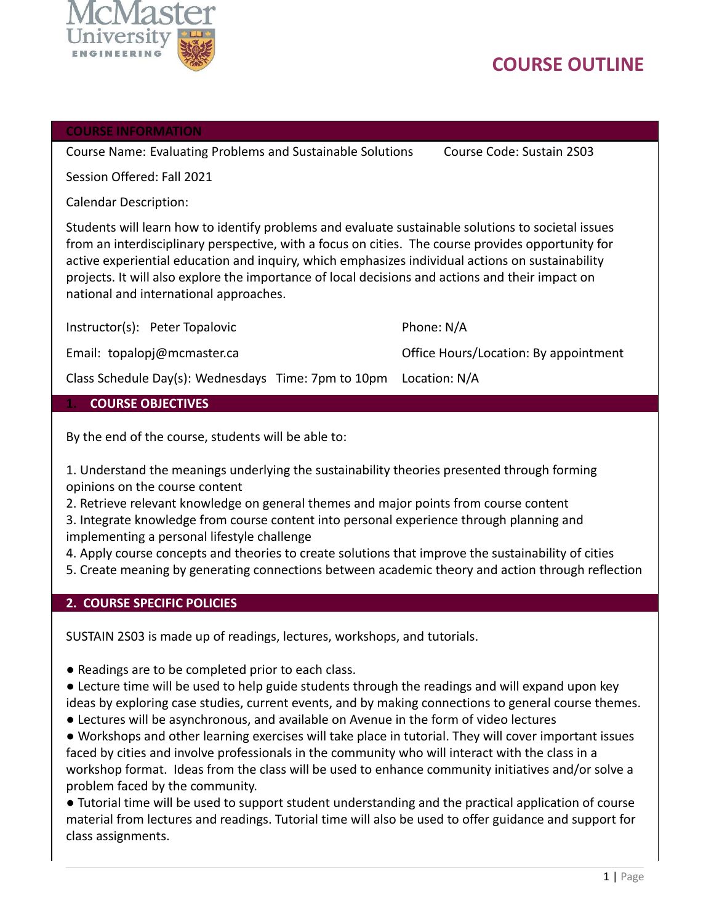

# **COURSE OUTLINE**

#### **COURSE INFORMATION**

Course Name: Evaluating Problems and Sustainable Solutions Course Code: Sustain 2S03

Session Offered: Fall 2021

Calendar Description:

Students will learn how to identify problems and evaluate sustainable solutions to societal issues from an interdisciplinary perspective, with a focus on cities. The course provides opportunity for active experiential education and inquiry, which emphasizes individual actions on sustainability projects. It will also explore the importance of local decisions and actions and their impact on national and international approaches.

Instructor(s): Peter Topalovic Phone: N/A

Email: topalopj@mcmaster.ca **Democration: Email: topalopj@mcmaster.ca** Office Hours/Location: By appointment

Class Schedule Day(s): Wednesdays Time: 7pm to 10pm Location: N/A

#### **1. COURSE OBJECTIVES**

By the end of the course, students will be able to:

1. Understand the meanings underlying the sustainability theories presented through forming opinions on the course content

2. Retrieve relevant knowledge on general themes and major points from course content 3. Integrate knowledge from course content into personal experience through planning and implementing a personal lifestyle challenge

4. Apply course concepts and theories to create solutions that improve the sustainability of cities

5. Create meaning by generating connections between academic theory and action through reflection

#### **2. COURSE SPECIFIC POLICIES**

SUSTAIN 2S03 is made up of readings, lectures, workshops, and tutorials.

● Readings are to be completed prior to each class.

- Lecture time will be used to help guide students through the readings and will expand upon key ideas by exploring case studies, current events, and by making connections to general course themes.
- Lectures will be asynchronous, and available on Avenue in the form of video lectures

● Workshops and other learning exercises will take place in tutorial. They will cover important issues faced by cities and involve professionals in the community who will interact with the class in a workshop format. Ideas from the class will be used to enhance community initiatives and/or solve a problem faced by the community.

● Tutorial time will be used to support student understanding and the practical application of course material from lectures and readings. Tutorial time will also be used to offer guidance and support for class assignments.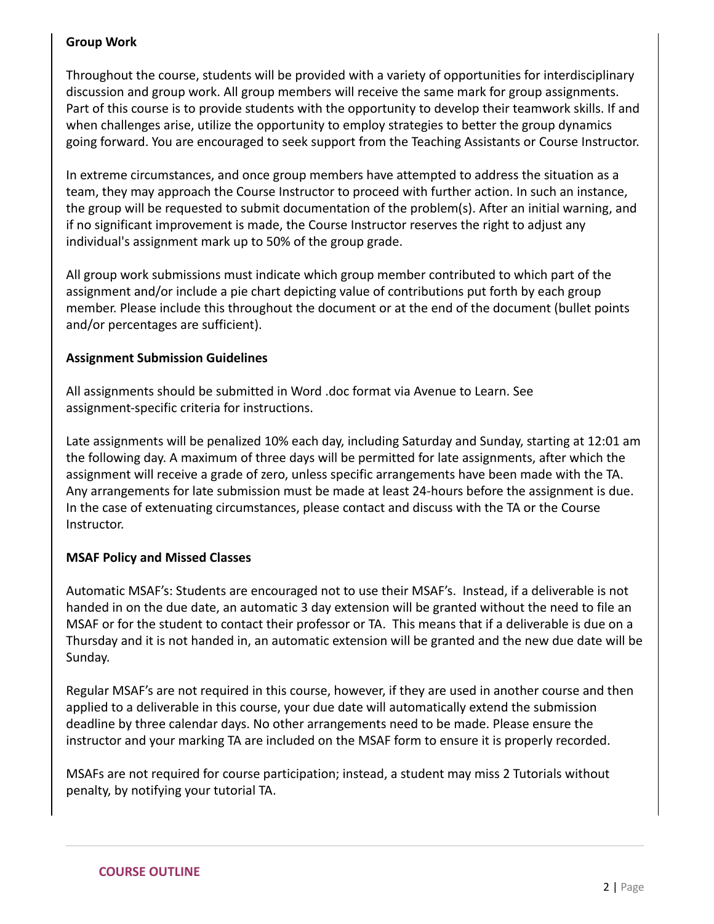## **Group Work**

Throughout the course, students will be provided with a variety of opportunities for interdisciplinary discussion and group work. All group members will receive the same mark for group assignments. Part of this course is to provide students with the opportunity to develop their teamwork skills. If and when challenges arise, utilize the opportunity to employ strategies to better the group dynamics going forward. You are encouraged to seek support from the Teaching Assistants or Course Instructor.

In extreme circumstances, and once group members have attempted to address the situation as a team, they may approach the Course Instructor to proceed with further action. In such an instance, the group will be requested to submit documentation of the problem(s). After an initial warning, and if no significant improvement is made, the Course Instructor reserves the right to adjust any individual's assignment mark up to 50% of the group grade.

All group work submissions must indicate which group member contributed to which part of the assignment and/or include a pie chart depicting value of contributions put forth by each group member. Please include this throughout the document or at the end of the document (bullet points and/or percentages are sufficient).

#### **Assignment Submission Guidelines**

All assignments should be submitted in Word .doc format via Avenue to Learn. See assignment-specific criteria for instructions.

Late assignments will be penalized 10% each day, including Saturday and Sunday, starting at 12:01 am the following day. A maximum of three days will be permitted for late assignments, after which the assignment will receive a grade of zero, unless specific arrangements have been made with the TA. Any arrangements for late submission must be made at least 24-hours before the assignment is due. In the case of extenuating circumstances, please contact and discuss with the TA or the Course Instructor.

## **MSAF Policy and Missed Classes**

Automatic MSAF's: Students are encouraged not to use their MSAF's. Instead, if a deliverable is not handed in on the due date, an automatic 3 day extension will be granted without the need to file an MSAF or for the student to contact their professor or TA. This means that if a deliverable is due on a Thursday and it is not handed in, an automatic extension will be granted and the new due date will be Sunday.

Regular MSAF's are not required in this course, however, if they are used in another course and then applied to a deliverable in this course, your due date will automatically extend the submission deadline by three calendar days. No other arrangements need to be made. Please ensure the instructor and your marking TA are included on the MSAF form to ensure it is properly recorded.

MSAFs are not required for course participation; instead, a student may miss 2 Tutorials without penalty, by notifying your tutorial TA.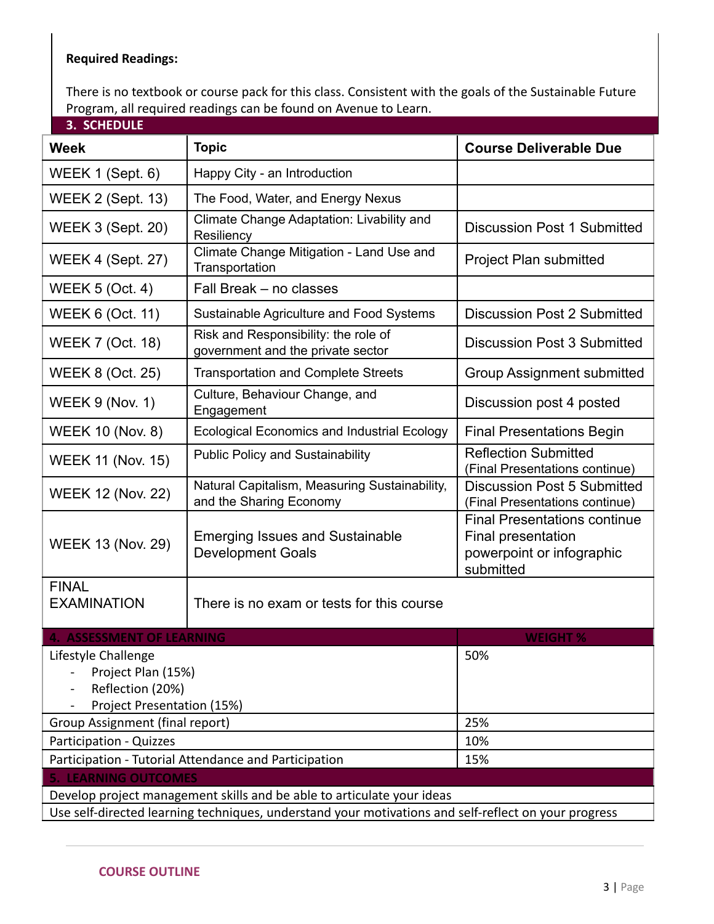# **Required Readings:**

There is no textbook or course pack for this class. Consistent with the goals of the Sustainable Future Program, all required readings can be found on Avenue to Learn.

| 3. SCHEDULE                                                                                          |                                                                           |                                                                                                     |  |
|------------------------------------------------------------------------------------------------------|---------------------------------------------------------------------------|-----------------------------------------------------------------------------------------------------|--|
| <b>Week</b>                                                                                          | <b>Topic</b>                                                              | <b>Course Deliverable Due</b>                                                                       |  |
| WEEK 1 (Sept. 6)                                                                                     | Happy City - an Introduction                                              |                                                                                                     |  |
| <b>WEEK 2 (Sept. 13)</b>                                                                             | The Food, Water, and Energy Nexus                                         |                                                                                                     |  |
| <b>WEEK 3 (Sept. 20)</b>                                                                             | Climate Change Adaptation: Livability and<br>Resiliency                   | <b>Discussion Post 1 Submitted</b>                                                                  |  |
| <b>WEEK 4 (Sept. 27)</b>                                                                             | Climate Change Mitigation - Land Use and<br>Transportation                | <b>Project Plan submitted</b>                                                                       |  |
| <b>WEEK 5 (Oct. 4)</b>                                                                               | Fall Break - no classes                                                   |                                                                                                     |  |
| <b>WEEK 6 (Oct. 11)</b>                                                                              | Sustainable Agriculture and Food Systems                                  | <b>Discussion Post 2 Submitted</b>                                                                  |  |
| <b>WEEK 7 (Oct. 18)</b>                                                                              | Risk and Responsibility: the role of<br>government and the private sector | <b>Discussion Post 3 Submitted</b>                                                                  |  |
| <b>WEEK 8 (Oct. 25)</b>                                                                              | <b>Transportation and Complete Streets</b>                                | <b>Group Assignment submitted</b>                                                                   |  |
| <b>WEEK 9 (Nov. 1)</b>                                                                               | Culture, Behaviour Change, and<br>Engagement                              | Discussion post 4 posted                                                                            |  |
| <b>WEEK 10 (Nov. 8)</b>                                                                              | <b>Ecological Economics and Industrial Ecology</b>                        | <b>Final Presentations Begin</b>                                                                    |  |
| <b>WEEK 11 (Nov. 15)</b>                                                                             | <b>Public Policy and Sustainability</b>                                   | <b>Reflection Submitted</b><br>(Final Presentations continue)                                       |  |
| <b>WEEK 12 (Nov. 22)</b>                                                                             | Natural Capitalism, Measuring Sustainability,<br>and the Sharing Economy  | <b>Discussion Post 5 Submitted</b><br>(Final Presentations continue)                                |  |
| <b>WEEK 13 (Nov. 29)</b>                                                                             | <b>Emerging Issues and Sustainable</b><br><b>Development Goals</b>        | <b>Final Presentations continue</b><br>Final presentation<br>powerpoint or infographic<br>submitted |  |
| <b>FINAL</b><br><b>EXAMINATION</b>                                                                   | There is no exam or tests for this course                                 |                                                                                                     |  |
| <b>4. ASSESSMENT OF LEARNING</b>                                                                     |                                                                           | <b>WEIGHT %</b>                                                                                     |  |
| Lifestyle Challenge<br>Project Plan (15%)<br>Reflection (20%)<br>Project Presentation (15%)          |                                                                           | 50%                                                                                                 |  |
| Group Assignment (final report)                                                                      |                                                                           | 25%                                                                                                 |  |
| Participation - Quizzes                                                                              |                                                                           | 10%                                                                                                 |  |
| Participation - Tutorial Attendance and Participation                                                |                                                                           | 15%                                                                                                 |  |
| <b>5. LEARNING OUTCOMES</b>                                                                          |                                                                           |                                                                                                     |  |
| Develop project management skills and be able to articulate your ideas                               |                                                                           |                                                                                                     |  |
| Use self-directed learning techniques, understand your motivations and self-reflect on your progress |                                                                           |                                                                                                     |  |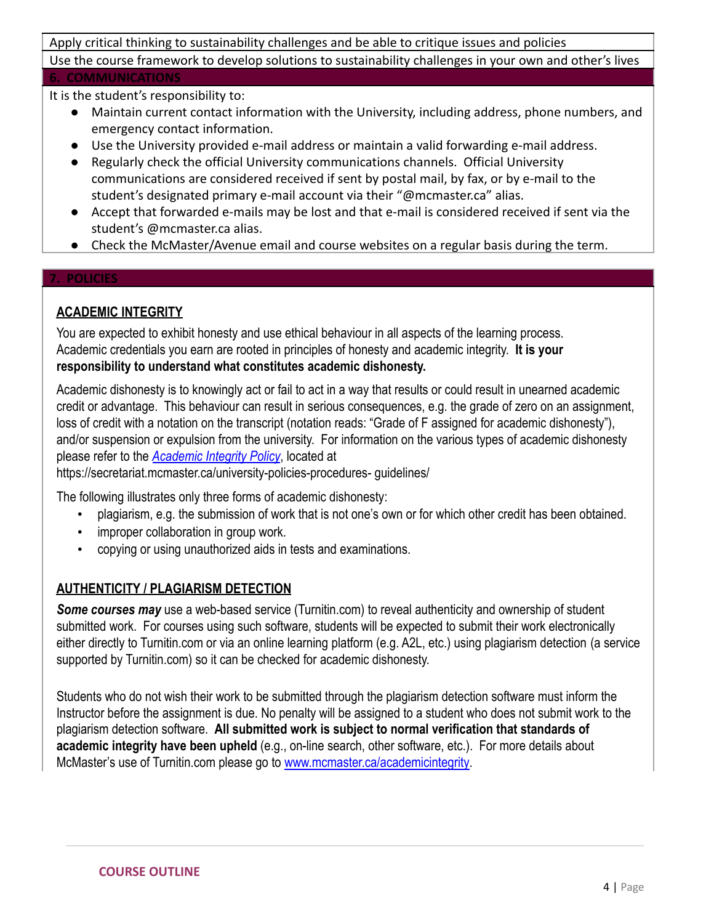Apply critical thinking to sustainability challenges and be able to critique issues and policies Use the course framework to develop solutions to sustainability challenges in your own and other's lives **6. COMMUNICATIONS**

It is the student's responsibility to:

- Maintain current contact information with the University, including address, phone numbers, and emergency contact information.
- Use the University provided e-mail address or maintain a valid forwarding e-mail address.
- Regularly check the official University communications channels. Official University communications are considered received if sent by postal mail, by fax, or by e-mail to the student's designated primary e-mail account via their "@mcmaster.ca" alias.
- Accept that forwarded e-mails may be lost and that e-mail is considered received if sent via the student's @mcmaster.ca alias.
- Check the McMaster/Avenue email and course websites on a regular basis during the term.

#### **7. POLICIES**

# **ACADEMIC INTEGRITY**

You are expected to exhibit honesty and use ethical behaviour in all aspects of the learning process. Academic credentials you earn are rooted in principles of honesty and academic integrity. **It is your responsibility to understand what constitutes academic dishonesty.**

Academic dishonesty is to knowingly act or fail to act in a way that results or could result in unearned academic credit or advantage. This behaviour can result in serious consequences, e.g. the grade of zero on an assignment, loss of credit with a notation on the transcript (notation reads: "Grade of F assigned for academic dishonesty"), and/or suspension or expulsion from the university. For information on the various types of academic dishonesty please refer to the *[Academic Integrity Policy](https://secretariat.mcmaster.ca/app/uploads/Academic-Integrity-Policy-1-1.pdf)*, located at

https://secretariat.mcmaster.ca/university-policies-procedures- guidelines/

The following illustrates only three forms of academic dishonesty:

- plagiarism, e.g. the submission of work that is not one's own or for which other credit has been obtained.
- improper collaboration in group work.
- copying or using unauthorized aids in tests and examinations.

# **AUTHENTICITY / PLAGIARISM DETECTION**

**Some courses may** use a web-based service (Turnitin.com) to reveal authenticity and ownership of student submitted work. For courses using such software, students will be expected to submit their work electronically either directly to Turnitin.com or via an online learning platform (e.g. A2L, etc.) using plagiarism detection (a service supported by Turnitin.com) so it can be checked for academic dishonesty.

Students who do not wish their work to be submitted through the plagiarism detection software must inform the Instructor before the assignment is due. No penalty will be assigned to a student who does not submit work to the plagiarism detection software. **All submitted work is subject to normal verification that standards of academic integrity have been upheld** (e.g., on-line search, other software, etc.). For more details about McMaster's use of Turnitin.com please go to [www.mcmaster.ca/academicintegrity.](http://www.mcmaster.ca/academicintegrity)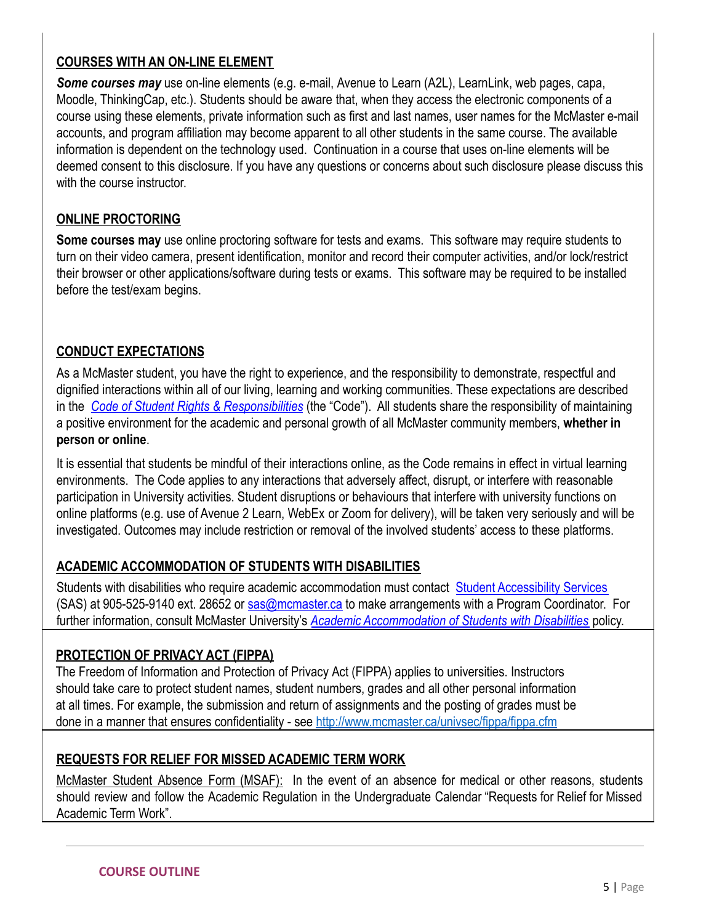# **COURSES WITH AN ON-LINE ELEMENT**

*Some courses may* use on-line elements (e.g. e-mail, Avenue to Learn (A2L), LearnLink, web pages, capa, Moodle, ThinkingCap, etc.). Students should be aware that, when they access the electronic components of a course using these elements, private information such as first and last names, user names for the McMaster e-mail accounts, and program affiliation may become apparent to all other students in the same course. The available information is dependent on the technology used. Continuation in a course that uses on-line elements will be deemed consent to this disclosure. If you have any questions or concerns about such disclosure please discuss this with the course instructor.

## **ONLINE PROCTORING**

**Some courses may** use online proctoring software for tests and exams. This software may require students to turn on their video camera, present identification, monitor and record their computer activities, and/or lock/restrict their browser or other applications/software during tests or exams. This software may be required to be installed before the test/exam begins.

# **CONDUCT EXPECTATIONS**

As a McMaster student, you have the right to experience, and the responsibility to demonstrate, respectful and dignified interactions within all of our living, learning and working communities. These expectations are described in the *[Code of Student Rights & Responsibilities](https://secretariat.mcmaster.ca/app/uploads/Code-of-Student-Rights-and-Responsibilities.pdf)* (the "Code"). All students share the responsibility of maintaining a positive environment for the academic and personal growth of all McMaster community members, **whether in person or online**.

It is essential that students be mindful of their interactions online, as the Code remains in effect in virtual learning environments. The Code applies to any interactions that adversely affect, disrupt, or interfere with reasonable participation in University activities. Student disruptions or behaviours that interfere with university functions on online platforms (e.g. use of Avenue 2 Learn, WebEx or Zoom for delivery), will be taken very seriously and will be investigated. Outcomes may include restriction or removal of the involved students' access to these platforms.

# **ACADEMIC ACCOMMODATION OF STUDENTS WITH DISABILITIES**

Students with disabilities who require academic accommodation must contact [Student Accessibility Services](https://sas.mcmaster.ca/) (SAS) at 905-525-9140 ext. 28652 or [sas@mcmaster.ca](mailto:sas@mcmaster.ca) to make arrangements with a Program Coordinator. For further information, consult McMaster University's *[Academic Accommodation of Students with Disabilities](https://secretariat.mcmaster.ca/app/uploads/Academic-Accommodations-Policy.pdf)* policy.

## **PROTECTION OF PRIVACY ACT (FIPPA)**

The Freedom of Information and Protection of Privacy Act (FIPPA) applies to universities. Instructors should take care to protect student names, student numbers, grades and all other personal information at all times. For example, the submission and return of assignments and the posting of grades must be done in a manner that ensures confidentiality - see <http://www.mcmaster.ca/univsec/fippa/fippa.cfm>

# **REQUESTS FOR RELIEF FOR MISSED ACADEMIC TERM WORK**

McMaster Student Absence Form (MSAF): In the event of an absence for medical or other reasons, students should review and follow the Academic Regulation in the Undergraduate Calendar "Requests for Relief for Missed Academic Term Work".